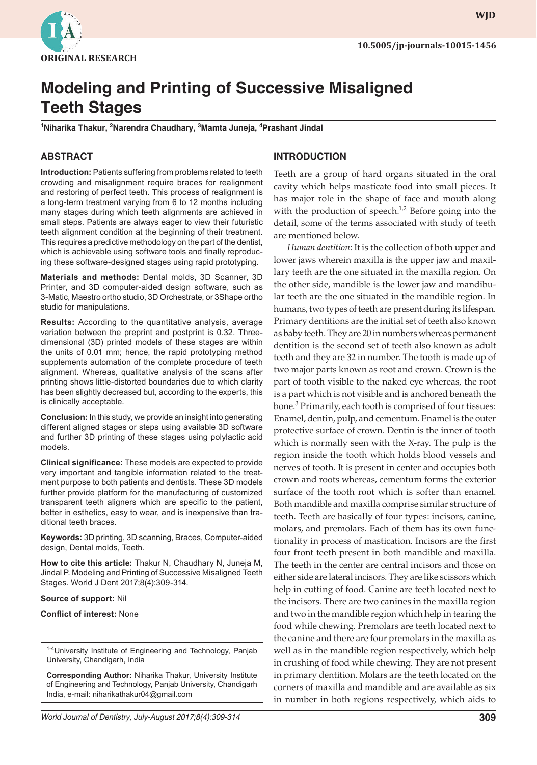

**wjd WJD**

# **Modeling and Printing of Successive Misaligned Teeth Stages**

<sup>1</sup>Niharika Thakur, <sup>2</sup>Narendra Chaudhary, <sup>3</sup>Mamta Juneja, <sup>4</sup>Prashant Jindal

## **ABSTRACT**

**Introduction:** Patients suffering from problems related to teeth crowding and misalignment require braces for realignment and restoring of perfect teeth. This process of realignment is a long-term treatment varying from 6 to 12 months including many stages during which teeth alignments are achieved in small steps. Patients are always eager to view their futuristic teeth alignment condition at the beginning of their treatment. This requires a predictive methodology on the part of the dentist, which is achievable using software tools and finally reproducing these software-designed stages using rapid prototyping.

**Materials and methods:** Dental molds, 3D Scanner, 3D Printer, and 3D computer-aided design software, such as 3-Matic, Maestro ortho studio, 3D Orchestrate, or 3Shape ortho studio for manipulations.

**Results:** According to the quantitative analysis, average variation between the preprint and postprint is 0.32. Threedimensional (3D) printed models of these stages are within the units of 0.01 mm; hence, the rapid prototyping method supplements automation of the complete procedure of teeth alignment. Whereas, qualitative analysis of the scans after printing shows little-distorted boundaries due to which clarity has been slightly decreased but, according to the experts, this is clinically acceptable.

**Conclusion:** In this study, we provide an insight into generating different aligned stages or steps using available 3D software and further 3D printing of these stages using polylactic acid models.

**Clinical significance:** These models are expected to provide very important and tangible information related to the treatment purpose to both patients and dentists. These 3D models further provide platform for the manufacturing of customized transparent teeth aligners which are specific to the patient, better in esthetics, easy to wear, and is inexpensive than traditional teeth braces.

**Keywords:** 3D printing, 3D scanning, Braces, Computer-aided design, Dental molds, Teeth.

**How to cite this article:** Thakur N, Chaudhary N, Juneja M, Jindal P. Modeling and Printing of Successive Misaligned Teeth Stages. World J Dent 2017;8(4):309-314.

#### **Source of support:** Nil

#### **Conflict of interest:** None

<sup>1-4</sup>University Institute of Engineering and Technology, Panjab University, Chandigarh, India

**Corresponding Author:** Niharika Thakur, University Institute of Engineering and Technology, Panjab University, Chandigarh India, e-mail: niharikathakur04@gmail.com

#### **INTRODUCTION**

Teeth are a group of hard organs situated in the oral cavity which helps masticate food into small pieces. It has major role in the shape of face and mouth along with the production of speech. $1,2$  Before going into the detail, some of the terms associated with study of teeth are mentioned below.

*Human dentition*: It is the collection of both upper and lower jaws wherein maxilla is the upper jaw and maxillary teeth are the one situated in the maxilla region. On the other side, mandible is the lower jaw and mandibular teeth are the one situated in the mandible region. In humans, two types of teeth are present during its lifespan. Primary dentitions are the initial set of teeth also known as baby teeth. They are 20 in numbers whereas permanent dentition is the second set of teeth also known as adult teeth and they are 32 in number. The tooth is made up of two major parts known as root and crown. Crown is the part of tooth visible to the naked eye whereas, the root is a part which is not visible and is anchored beneath the bone.<sup>3</sup> Primarily, each tooth is comprised of four tissues: Enamel, dentin, pulp, and cementum. Enamel is the outer protective surface of crown. Dentin is the inner of tooth which is normally seen with the X-ray. The pulp is the region inside the tooth which holds blood vessels and nerves of tooth. It is present in center and occupies both crown and roots whereas, cementum forms the exterior surface of the tooth root which is softer than enamel. Both mandible and maxilla comprise similar structure of teeth. Teeth are basically of four types: incisors, canine, molars, and premolars. Each of them has its own functionality in process of mastication. Incisors are the first four front teeth present in both mandible and maxilla. The teeth in the center are central incisors and those on either side are lateral incisors. They are like scissors which help in cutting of food. Canine are teeth located next to the incisors. There are two canines in the maxilla region and two in the mandible region which help in tearing the food while chewing. Premolars are teeth located next to the canine and there are four premolars in the maxilla as well as in the mandible region respectively, which help in crushing of food while chewing. They are not present in primary dentition. Molars are the teeth located on the corners of maxilla and mandible and are available as six in number in both regions respectively, which aids to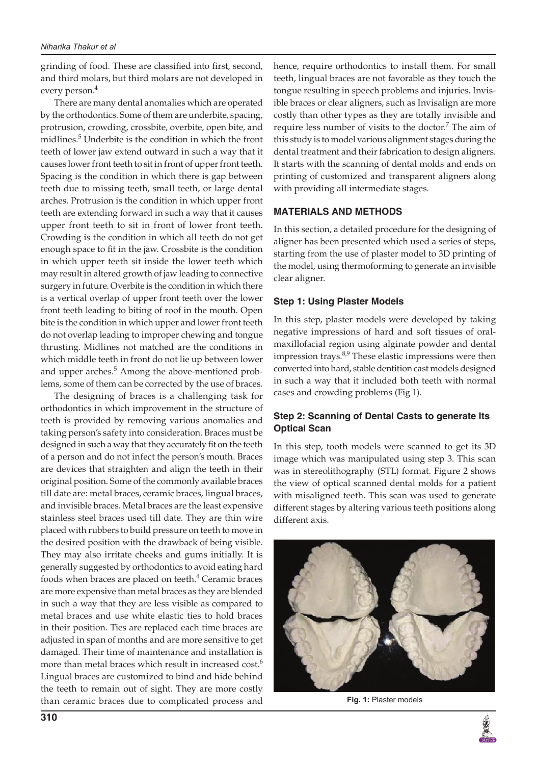grinding of food. These are classified into first, second, and third molars, but third molars are not developed in every person.4

There are many dental anomalies which are operated by the orthodontics. Some of them are underbite, spacing, protrusion, crowding, crossbite, overbite, open bite, and midlines.<sup>5</sup> Underbite is the condition in which the front teeth of lower jaw extend outward in such a way that it causes lower front teeth to sit in front of upper front teeth. Spacing is the condition in which there is gap between teeth due to missing teeth, small teeth, or large dental arches. Protrusion is the condition in which upper front teeth are extending forward in such a way that it causes upper front teeth to sit in front of lower front teeth. Crowding is the condition in which all teeth do not get enough space to fit in the jaw. Crossbite is the condition in which upper teeth sit inside the lower teeth which may result in altered growth of jaw leading to connective surgery in future. Overbite is the condition in which there is a vertical overlap of upper front teeth over the lower front teeth leading to biting of roof in the mouth. Open bite is the condition in which upper and lower front teeth do not overlap leading to improper chewing and tongue thrusting. Midlines not matched are the conditions in which middle teeth in front do not lie up between lower and upper arches.<sup>5</sup> Among the above-mentioned problems, some of them can be corrected by the use of braces.

The designing of braces is a challenging task for orthodontics in which improvement in the structure of teeth is provided by removing various anomalies and taking person's safety into consideration. Braces must be designed in such a way that they accurately fit on the teeth of a person and do not infect the person's mouth. Braces are devices that straighten and align the teeth in their original position. Some of the commonly available braces till date are: metal braces, ceramic braces, lingual braces, and invisible braces. Metal braces are the least expensive stainless steel braces used till date. They are thin wire placed with rubbers to build pressure on teeth to move in the desired position with the drawback of being visible. They may also irritate cheeks and gums initially. It is generally suggested by orthodontics to avoid eating hard foods when braces are placed on teeth.<sup>4</sup> Ceramic braces are more expensive than metal braces as they are blended in such a way that they are less visible as compared to metal braces and use white elastic ties to hold braces in their position. Ties are replaced each time braces are adjusted in span of months and are more sensitive to get damaged. Their time of maintenance and installation is more than metal braces which result in increased cost.<sup>6</sup> Lingual braces are customized to bind and hide behind the teeth to remain out of sight. They are more costly than ceramic braces due to complicated process and

hence, require orthodontics to install them. For small teeth, lingual braces are not favorable as they touch the tongue resulting in speech problems and injuries. Invisible braces or clear aligners, such as Invisalign are more costly than other types as they are totally invisible and require less number of visits to the doctor.<sup>7</sup> The aim of this study is to model various alignment stages during the dental treatment and their fabrication to design aligners. It starts with the scanning of dental molds and ends on printing of customized and transparent aligners along with providing all intermediate stages.

### **MATERIALS AND METHODS**

In this section, a detailed procedure for the designing of aligner has been presented which used a series of steps, starting from the use of plaster model to 3D printing of the model, using thermoforming to generate an invisible clear aligner.

### **Step 1: Using Plaster Models**

In this step, plaster models were developed by taking negative impressions of hard and soft tissues of oralmaxillofacial region using alginate powder and dental impression trays.<sup>8,9</sup> These elastic impressions were then converted into hard, stable dentition cast models designed in such a way that it included both teeth with normal cases and crowding problems (Fig 1).

# **Step 2: Scanning of Dental Casts to generate Its Optical Scan**

In this step, tooth models were scanned to get its 3D image which was manipulated using step 3. This scan was in stereolithography (STL) format. Figure 2 shows the view of optical scanned dental molds for a patient with misaligned teeth. This scan was used to generate different stages by altering various teeth positions along different axis.



**Fig. 1:** Plaster models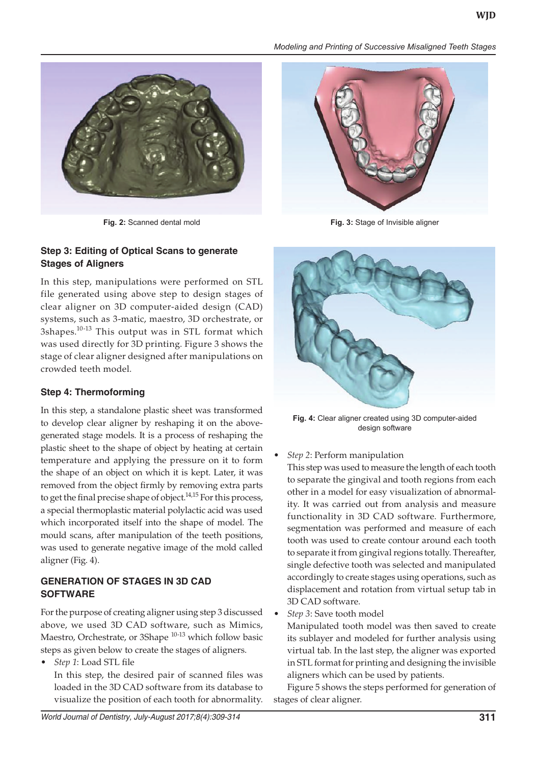

# **Step 3: Editing of Optical Scans to generate Stages of Aligners**

In this step, manipulations were performed on STL file generated using above step to design stages of clear aligner on 3D computer-aided design (CAD) systems, such as 3-matic, maestro, 3D orchestrate, or 3shapes.<sup>10-13</sup> This output was in STL format which was used directly for 3D printing. Figure 3 shows the stage of clear aligner designed after manipulations on crowded teeth model.

# **Step 4: Thermoforming**

In this step, a standalone plastic sheet was transformed to develop clear aligner by reshaping it on the abovegenerated stage models. It is a process of reshaping the plastic sheet to the shape of object by heating at certain temperature and applying the pressure on it to form the shape of an object on which it is kept. Later, it was removed from the object firmly by removing extra parts to get the final precise shape of object.<sup>14,15</sup> For this process, a special thermoplastic material polylactic acid was used which incorporated itself into the shape of model. The mould scans, after manipulation of the teeth positions, was used to generate negative image of the mold called aligner (Fig. 4).

# **GENERATION OF STAGES IN 3D CAD SOFTWARE**

For the purpose of creating aligner using step 3 discussed above, we used 3D CAD software, such as Mimics, Maestro, Orchestrate, or 3Shape <sup>10-13</sup> which follow basic steps as given below to create the stages of aligners.

**Step 1: Load STL file** 

In this step, the desired pair of scanned files was loaded in the 3D CAD software from its database to visualize the position of each tooth for abnormality.

#### *Modeling and Printing of Successive Misaligned Teeth Stages*



**Fig. 2:** Scanned dental mold **Fig. 3:** Stage of Invisible aligner



**Fig. 4:** Clear aligner created using 3D computer-aided design software

**Step 2: Perform manipulation** 

This step was used to measure the length of each tooth to separate the gingival and tooth regions from each other in a model for easy visualization of abnormality. It was carried out from analysis and measure functionality in 3D CAD software. Furthermore, segmentation was performed and measure of each tooth was used to create contour around each tooth to separate it from gingival regions totally. Thereafter, single defective tooth was selected and manipulated accordingly to create stages using operations, such as displacement and rotation from virtual setup tab in 3D CAD software.

Step 3: Save tooth model

Manipulated tooth model was then saved to create its sublayer and modeled for further analysis using virtual tab. In the last step, the aligner was exported in STL format for printing and designing the invisible aligners which can be used by patients.

Figure 5 shows the steps performed for generation of stages of clear aligner.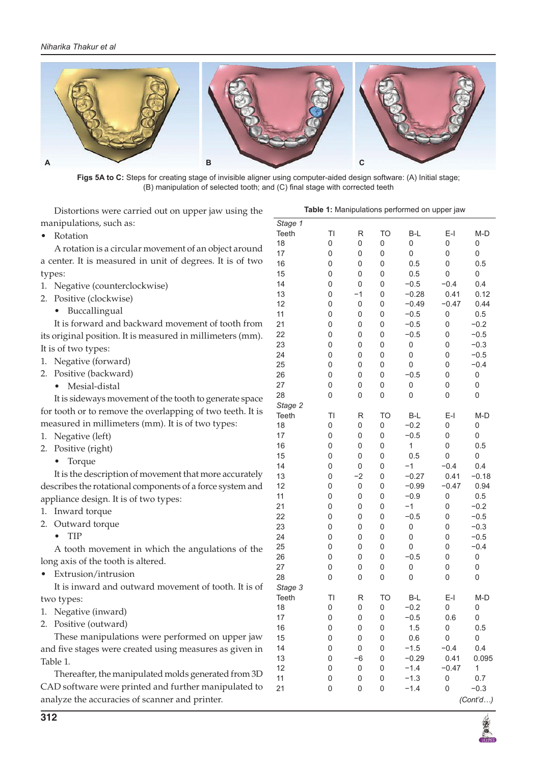![](_page_3_Picture_1.jpeg)

**Figs 5A to C:** Steps for creating stage of invisible aligner using computer-aided design software: (A) Initial stage; (B) manipulation of selected tooth; and (C) final stage with corrected teeth

Distortions were carried out on upper jaw using the manipulations, such as: • Rotation

A rotation is a circular movement of an object around a center. It is measured in unit of degrees. It is of two types:

- 1. Negative (counterclockwise)
- 2. Positive (clockwise)
	- • Buccallingual

It is forward and backward movement of tooth from its original position. It is measured in millimeters (mm). It is of two types:

- 1. Negative (forward)
- 2. Positive (backward)
	- • Mesial-distal

It is sideways movement of the tooth to generate space for tooth or to remove the overlapping of two teeth. It is measured in millimeters (mm). It is of two types:

- 1. Negative (left)
- 2. Positive (right)
	- Torque

It is the description of movement that more accurately describes the rotational components of a force system and appliance design. It is of two types:

- 1. Inward torque
- 2. Outward torque
	- • TIP

A tooth movement in which the angulations of the long axis of the tooth is altered.

Extrusion/intrusion

It is inward and outward movement of tooth. It is of two types:

- 1. Negative (inward)
- 2. Positive (outward)

These manipulations were performed on upper jaw and five stages were created using measures as given in Table 1.

Thereafter, the manipulated molds generated from 3D CAD software were printed and further manipulated to analyze the accuracies of scanner and printer.

| Stage 1 |             |      |           |              |         |              |
|---------|-------------|------|-----------|--------------|---------|--------------|
| Teeth   | TI          | R    | TO        | B-L          | $E-I$   | $M-D$        |
| 18      | 0           | 0    | 0         | 0            | 0       | 0            |
| 17      | 0           | 0    | 0         | 0            | 0       | 0            |
| 16      | 0           | 0    | 0         | 0.5          | 0       | 0.5          |
| 15      | 0           | 0    | 0         | 0.5          | 0       | 0            |
| 14      | 0           | 0    | 0         | $-0.5$       | $-0.4$  | 0.4          |
| 13      | 0           | $-1$ | 0         | $-0.28$      | 0.41    | 0.12         |
| 12      | 0           | 0    | 0         | $-0.49$      | $-0.47$ | 0.44         |
| 11      | 0           | 0    | 0         | $-0.5$       | 0       | 0.5          |
| 21      | $\mathbf 0$ | 0    | 0         | $-0.5$       | 0       | $-0.2$       |
| 22      | 0           | 0    | 0         | $-0.5$       | 0       | $-0.5$       |
| 23      | 0           | 0    | 0         | 0            | 0       | $-0.3$       |
| 24      | 0           | 0    | 0         | 0            | 0       | $-0.5$       |
| 25      | 0           | 0    | 0         | 0            | 0       | $-0.4$       |
| 26      | 0           | 0    | 0         | $-0.5$       | 0       | 0            |
| 27      | 0           | 0    | 0         | 0            | 0       | 0            |
| 28      | 0           | 0    | 0         | 0            | 0       | 0            |
| Stage 2 |             |      |           |              |         |              |
| Teeth   | ΤI          | R    | <b>TO</b> | B-L          | $E-I$   | $M-D$        |
| 18      | 0           | 0    | 0         | $-0.2$       | 0       | 0            |
| 17      | 0           | 0    | 0         | $-0.5$       | 0       | 0            |
| 16      | 0           | 0    | 0         | $\mathbf{1}$ | 0       | 0.5          |
| 15      | 0           | 0    | 0         | 0.5          | 0       | 0            |
| 14      | 0           | 0    | 0         | $-1$         | $-0.4$  | 0.4          |
| 13      | 0           | $-2$ | 0         | $-0.27$      | 0.41    | $-0.18$      |
| 12      | 0           | 0    | 0         | $-0.99$      | $-0.47$ | 0.94         |
| 11      | 0           | 0    | 0         | $-0.9$       | 0       | 0.5          |
| 21      | 0           | 0    | 0         | $-1$         | 0       | $-0.2$       |
| 22      | 0           | 0    | 0         | $-0.5$       | 0       | $-0.5$       |
| 23      | 0           | 0    | 0         | 0            | 0       | $-0.3$       |
| 24      | 0           | 0    | 0         | 0            | 0       | $-0.5$       |
| 25      | 0           | 0    | 0         | 0            | 0       | $-0.4$       |
| 26      | 0           | 0    | 0         | $-0.5$       | 0       | 0            |
| 27      | 0           | 0    | 0         | 0            | 0       | 0            |
| 28      | 0           | 0    | 0         | 0            | 0       | 0            |
| Stage 3 |             |      |           |              |         |              |
| Teeth   | TI          | R    | <b>TO</b> | B-L          | $E-I$   | $M-D$        |
| 18      | 0           | 0    | 0         | $-0.2$       | 0       | 0            |
| 17      | 0           | 0    | 0         | $-0.5$       | 0.6     | 0            |
| 16      | 0           | 0    | 0         | 1.5          | 0       | 0.5          |
| 15      | 0           | 0    | 0         | 0.6          | 0       | 0            |
| 14      | 0           | 0    | 0         | $-1.5$       | $-0.4$  | 0.4          |
| 13      | 0           | -6   | 0         | $-0.29$      | 0.41    | 0.095        |
| 12      | 0           | 0    | 0         | $-1.4$       | $-0.47$ | $\mathbf{1}$ |
| 11      | 0           | 0    | 0         | $-1.3$       | 0       | 0.7          |
| 21      | 0           | 0    | 0         | $-1.4$       | 0       | $-0.3$       |
|         |             |      |           |              |         |              |

**Table 1:** Manipulations performed on upper jaw

![](_page_3_Picture_28.jpeg)

*(Cont'd…)*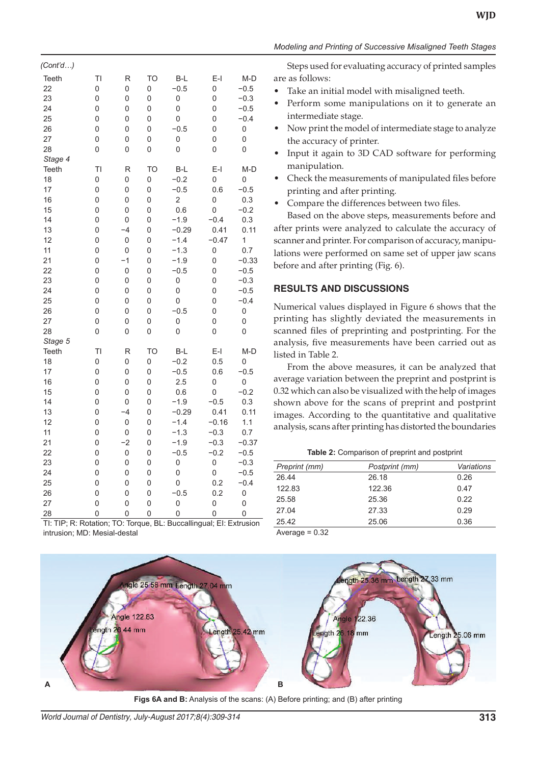| ۰.<br>٠ |
|---------|
|---------|

| (Cont'd…)                                                                                                               |                                                                                                                        |                                                                                                                   |                                                                                                        |                                                                                                                                                                                        |                                                                                                                                         |                                                                                                                                              |
|-------------------------------------------------------------------------------------------------------------------------|------------------------------------------------------------------------------------------------------------------------|-------------------------------------------------------------------------------------------------------------------|--------------------------------------------------------------------------------------------------------|----------------------------------------------------------------------------------------------------------------------------------------------------------------------------------------|-----------------------------------------------------------------------------------------------------------------------------------------|----------------------------------------------------------------------------------------------------------------------------------------------|
| Teeth<br>22<br>23<br>24<br>25<br>26<br>27<br>28<br>Stage 4                                                              | TI<br>0<br>0<br>0<br>0<br>0<br>0<br>0                                                                                  | R<br>0<br>0<br>0<br>0<br>0<br>0<br>0                                                                              | <b>TO</b><br>0<br>0<br>0<br>0<br>0<br>0<br>0                                                           | $B-L$<br>$-0.5$<br>$\mathbf 0$<br>0<br>0<br>$-0.5$<br>$\overline{0}$<br>0                                                                                                              | $E-I$<br>0<br>0<br>0<br>0<br>0<br>0<br>0                                                                                                | $M-D$<br>$-0.5$<br>$-0.3$<br>$-0.5$<br>$-0.4$<br>0<br>0<br>0                                                                                 |
| <b>Teeth</b><br>18<br>17<br>16<br>15<br>14<br>13<br>12<br>11<br>21<br>22<br>23<br>24<br>25<br>26<br>27<br>28<br>Stage 5 | ΤI<br>0<br>0<br>0<br>0<br>0<br>0<br>0<br>$\overline{0}$<br>0<br>0<br>0<br>0<br>$\mathbf 0$<br>$\overline{0}$<br>0<br>0 | R<br>0<br>0<br>0<br>0<br>0<br>$-4$<br>$\mathbf 0$<br>0<br>$-1$<br>$\mathbf 0$<br>0<br>0<br>0<br>0<br>0<br>0       | <b>TO</b><br>0<br>0<br>0<br>0<br>0<br>0<br>0<br>0<br>0<br>0<br>0<br>0<br>0<br>0<br>0<br>$\overline{0}$ | $B-L$<br>$-0.2$<br>$-0.5$<br>$\overline{c}$<br>0.6<br>$-1.9$<br>$-0.29$<br>$-1.4$<br>$-1.3$<br>$-1.9$<br>$-0.5$<br>$\mathbf 0$<br>$\overline{0}$<br>0<br>$-0.5$<br>$\overline{0}$<br>0 | $E-I$<br>0<br>0.6<br>0<br>0<br>$-0.4$<br>0.41<br>$-0.47$<br>0<br>0<br>0<br>0<br>0<br>0<br>0<br>0<br>0                                   | M-D<br>0<br>$-0.5$<br>0.3<br>$-0.2$<br>0.3<br>0.11<br>1<br>0.7<br>$-0.33$<br>$-0.5$<br>$-0.3$<br>$-0.5$<br>$-0.4$<br>$\mathbf 0$<br>0<br>0   |
| <b>Teeth</b><br>18<br>17<br>16<br>15<br>14<br>13<br>12<br>11<br>21<br>22<br>23<br>24<br>25<br>26<br>27<br>28            | TI<br>$\mathbf 0$<br>0<br>0<br>0<br>0<br>0<br>0<br>0<br>0<br>$\overline{0}$<br>0<br>0<br>$\mathbf 0$<br>0<br>0<br>0    | R<br>0<br>0<br>0<br>0<br>0<br>$-4$<br>$\overline{0}$<br>0<br>$-2$<br>$\overline{0}$<br>0<br>0<br>0<br>0<br>0<br>0 | <b>TO</b><br>0<br>0<br>0<br>0<br>0<br>0<br>0<br>0<br>0<br>0<br>0<br>0<br>$\overline{0}$<br>0<br>0<br>0 | $B-L$<br>$-0.2$<br>$-0.5$<br>2.5<br>0.6<br>$-1.9$<br>$-0.29$<br>$-1.4$<br>$-1.3$<br>$-1.9$<br>$-0.5$<br>$\overline{0}$<br>0<br>0<br>$-0.5$<br>0<br>0                                   | $E-I$<br>0.5<br>0.6<br>0<br>0<br>$-0.5$<br>0.41<br>$-0.16$<br>$-0.3$<br>$-0.3$<br>$-0.2$<br>$\overline{0}$<br>0<br>0.2<br>0.2<br>0<br>0 | $M-D$<br>0<br>$-0.5$<br>0<br>$-0.2$<br>0.3<br>0.11<br>1.1<br>0.7<br>$-0.37$<br>$-0.5$<br>$-0.3$<br>$-0.5$<br>$-0.4$<br>$\mathbf 0$<br>0<br>0 |

#### *Modeling and Printing of Successive Misaligned Teeth Stages*

Steps used for evaluating accuracy of printed samples are as follows:

- Take an initial model with misaligned teeth.
- Perform some manipulations on it to generate an intermediate stage.
- Now print the model of intermediate stage to analyze the accuracy of printer.
- Input it again to 3D CAD software for performing manipulation.
- Check the measurements of manipulated files before printing and after printing.
- Compare the differences between two files.

Based on the above steps, measurements before and after prints were analyzed to calculate the accuracy of scanner and printer. For comparison of accuracy, manipulations were performed on same set of upper jaw scans before and after printing (Fig. 6).

### **RESULTS AND DISCUSSIONS**

Numerical values displayed in Figure 6 shows that the printing has slightly deviated the measurements in scanned files of preprinting and postprinting. For the analysis, five measurements have been carried out as listed in Table 2.

From the above measures, it can be analyzed that average variation between the preprint and postprint is 0.32 which can also be visualized with the help of images shown above for the scans of preprint and postprint images. According to the quantitative and qualitative analysis, scans after printing has distorted the boundaries

**Table 2:** Comparison of preprint and postprint

| Preprint (mm) | Postprint (mm) | Variations |
|---------------|----------------|------------|
| 26.44         | 26.18          | 0.26       |
| 122.83        | 122.36         | 0.47       |
| 25.58         | 25.36          | 0.22       |
| 27.04         | 27.33          | 0.29       |
| 25.42         | 25.06          | 0.36       |
|               |                |            |

TI: TIP; R: Rotation; TO: Torque, BL: Buccallingual; EI: Extrusion intrusion; MD: Mesial-destal

Average  $= 0.32$ 

![](_page_4_Figure_18.jpeg)

**Figs 6A and B:** Analysis of the scans: (A) Before printing; and (B) after printing

*World Journal of Dentistry, July-August 2017;8(4):309-314* **313**